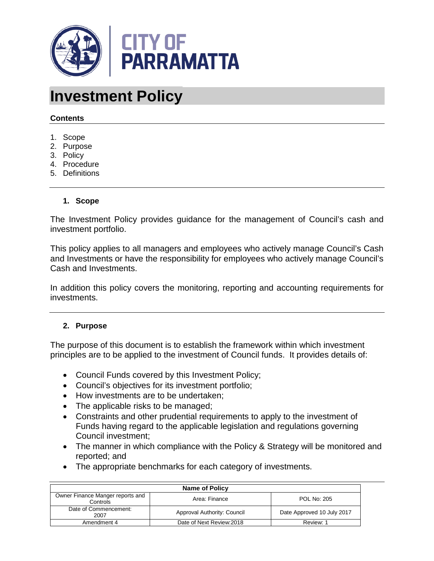

# **Investment Policy**

#### **Contents**

- 1. Scope
- 2. Purpose
- 3. Policy
- 4. Procedure
- 5. Definitions

#### **1. Scope**

The Investment Policy provides guidance for the management of Council's cash and investment portfolio.

This policy applies to all managers and employees who actively manage Council's Cash and Investments or have the responsibility for employees who actively manage Council's Cash and Investments.

In addition this policy covers the monitoring, reporting and accounting requirements for investments.

#### **2. Purpose**

The purpose of this document is to establish the framework within which investment principles are to be applied to the investment of Council funds. It provides details of:

- Council Funds covered by this Investment Policy;
- Council's objectives for its investment portfolio;
- How investments are to be undertaken;
- The applicable risks to be managed;
- Constraints and other prudential requirements to apply to the investment of Funds having regard to the applicable legislation and regulations governing Council investment;
- The manner in which compliance with the Policy & Strategy will be monitored and reported; and
- The appropriate benchmarks for each category of investments.

| Name of Policy                                                               |                             |                            |  |  |
|------------------------------------------------------------------------------|-----------------------------|----------------------------|--|--|
| Owner Finance Manger reports and<br>POL No: 205<br>Area: Finance<br>Controls |                             |                            |  |  |
| Date of Commencement:<br>2007                                                | Approval Authority: Council | Date Approved 10 July 2017 |  |  |
| Amendment 4                                                                  | Date of Next Review: 2018   | Review: 1                  |  |  |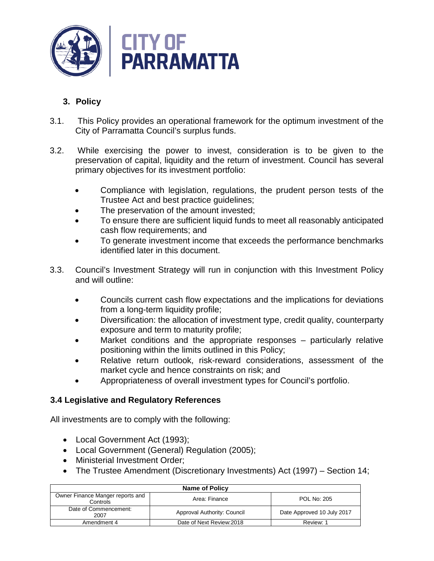

# **3. Policy**

- 3.1. This Policy provides an operational framework for the optimum investment of the City of Parramatta Council's surplus funds.
- 3.2. While exercising the power to invest, consideration is to be given to the preservation of capital, liquidity and the return of investment. Council has several primary objectives for its investment portfolio:
	- Compliance with legislation, regulations, the prudent person tests of the Trustee Act and best practice guidelines;
	- The preservation of the amount invested;
	- To ensure there are sufficient liquid funds to meet all reasonably anticipated cash flow requirements; and
	- To generate investment income that exceeds the performance benchmarks identified later in this document.
- 3.3. Council's Investment Strategy will run in conjunction with this Investment Policy and will outline:
	- Councils current cash flow expectations and the implications for deviations from a long-term liquidity profile;
	- Diversification: the allocation of investment type, credit quality, counterparty exposure and term to maturity profile;
	- Market conditions and the appropriate responses particularly relative positioning within the limits outlined in this Policy;
	- Relative return outlook, risk-reward considerations, assessment of the market cycle and hence constraints on risk; and
	- Appropriateness of overall investment types for Council's portfolio.

## **3.4 Legislative and Regulatory References**

All investments are to comply with the following:

- Local Government Act (1993);
- Local Government (General) Regulation (2005);
- Ministerial Investment Order:
- The Trustee Amendment (Discretionary Investments) Act (1997) Section 14;

| Name of Policy                                                                      |                             |                            |  |  |
|-------------------------------------------------------------------------------------|-----------------------------|----------------------------|--|--|
| Owner Finance Manger reports and<br><b>POL No: 205</b><br>Area: Finance<br>Controls |                             |                            |  |  |
| Date of Commencement:<br>2007                                                       | Approval Authority: Council | Date Approved 10 July 2017 |  |  |
| Amendment 4                                                                         | Date of Next Review: 2018   | Review: 1                  |  |  |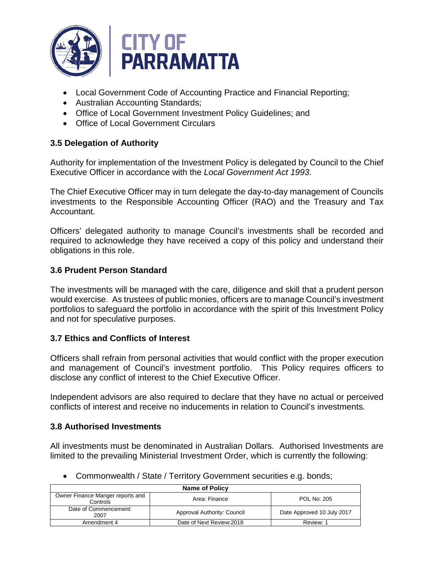

- Local Government Code of Accounting Practice and Financial Reporting;
- Australian Accounting Standards;
- Office of Local Government Investment Policy Guidelines; and
- Office of Local Government Circulars

## **3.5 Delegation of Authority**

Authority for implementation of the Investment Policy is delegated by Council to the Chief Executive Officer in accordance with the *Local Government Act 1993*.

The Chief Executive Officer may in turn delegate the day-to-day management of Councils investments to the Responsible Accounting Officer (RAO) and the Treasury and Tax Accountant.

Officers' delegated authority to manage Council's investments shall be recorded and required to acknowledge they have received a copy of this policy and understand their obligations in this role.

## **3.6 Prudent Person Standard**

The investments will be managed with the care, diligence and skill that a prudent person would exercise. As trustees of public monies, officers are to manage Council's investment portfolios to safeguard the portfolio in accordance with the spirit of this Investment Policy and not for speculative purposes.

## **3.7 Ethics and Conflicts of Interest**

Officers shall refrain from personal activities that would conflict with the proper execution and management of Council's investment portfolio. This Policy requires officers to disclose any conflict of interest to the Chief Executive Officer.

Independent advisors are also required to declare that they have no actual or perceived conflicts of interest and receive no inducements in relation to Council's investments.

## **3.8 Authorised Investments**

All investments must be denominated in Australian Dollars. Authorised Investments are limited to the prevailing Ministerial Investment Order, which is currently the following:

| Name of Policy                               |                             |                            |
|----------------------------------------------|-----------------------------|----------------------------|
| Owner Finance Manger reports and<br>Controls | Area: Finance               | <b>POL No: 205</b>         |
| Date of Commencement:<br>2007                | Approval Authority: Council | Date Approved 10 July 2017 |
| Amendment 4                                  | Date of Next Review: 2018   | Review: 1                  |

• Commonwealth / State / Territory Government securities e.g. bonds;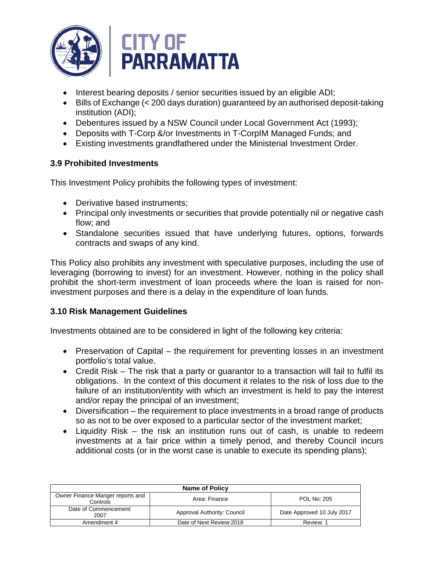

- Interest bearing deposits / senior securities issued by an eligible ADI;
- Bills of Exchange (< 200 days duration) guaranteed by an authorised deposit-taking institution (ADI);
- Debentures issued by a NSW Council under Local Government Act (1993);
- Deposits with T-Corp &/or Investments in T-CorpIM Managed Funds; and
- Existing investments grandfathered under the Ministerial Investment Order.

## **3.9 Prohibited Investments**

This Investment Policy prohibits the following types of investment:

- Derivative based instruments;
- Principal only investments or securities that provide potentially nil or negative cash flow; and
- Standalone securities issued that have underlying futures, options, forwards contracts and swaps of any kind.

This Policy also prohibits any investment with speculative purposes, including the use of leveraging (borrowing to invest) for an investment. However, nothing in the policy shall prohibit the short-term investment of loan proceeds where the loan is raised for noninvestment purposes and there is a delay in the expenditure of loan funds.

## **3.10 Risk Management Guidelines**

Investments obtained are to be considered in light of the following key criteria:

- Preservation of Capital the requirement for preventing losses in an investment portfolio's total value.
- Credit Risk The risk that a party or quarantor to a transaction will fail to fulfil its obligations. In the context of this document it relates to the risk of loss due to the failure of an institution/entity with which an investment is held to pay the interest and/or repay the principal of an investment;
- Diversification the requirement to place investments in a broad range of products so as not to be over exposed to a particular sector of the investment market;
- Liquidity Risk the risk an institution runs out of cash, is unable to redeem investments at a fair price within a timely period, and thereby Council incurs additional costs (or in the worst case is unable to execute its spending plans);

| <b>Name of Policy</b>                               |                                     |                            |  |  |  |
|-----------------------------------------------------|-------------------------------------|----------------------------|--|--|--|
| Owner Finance Manger reports and<br><b>Controls</b> | <b>POL No: 205</b><br>Area: Finance |                            |  |  |  |
| Date of Commencement:<br>2007                       | Approval Authority: Council         | Date Approved 10 July 2017 |  |  |  |
| Amendment 4                                         | Date of Next Review: 2018           | Review: 1                  |  |  |  |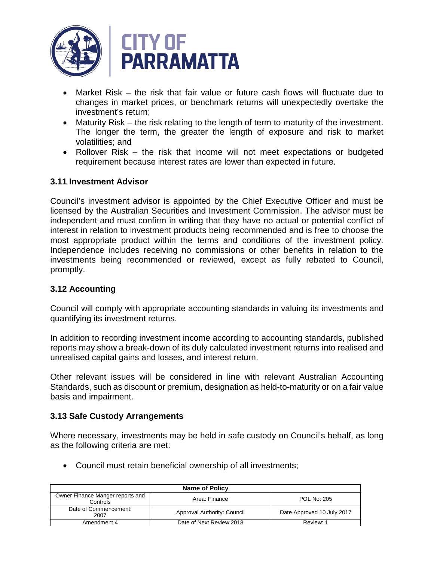

- Market Risk the risk that fair value or future cash flows will fluctuate due to changes in market prices, or benchmark returns will unexpectedly overtake the investment's return;
- Maturity Risk the risk relating to the length of term to maturity of the investment. The longer the term, the greater the length of exposure and risk to market volatilities; and
- Rollover Risk the risk that income will not meet expectations or budgeted requirement because interest rates are lower than expected in future.

## **3.11 Investment Advisor**

Council's investment advisor is appointed by the Chief Executive Officer and must be licensed by the Australian Securities and Investment Commission. The advisor must be independent and must confirm in writing that they have no actual or potential conflict of interest in relation to investment products being recommended and is free to choose the most appropriate product within the terms and conditions of the investment policy. Independence includes receiving no commissions or other benefits in relation to the investments being recommended or reviewed, except as fully rebated to Council, promptly.

#### **3.12 Accounting**

Council will comply with appropriate accounting standards in valuing its investments and quantifying its investment returns.

In addition to recording investment income according to accounting standards, published reports may show a break-down of its duly calculated investment returns into realised and unrealised capital gains and losses, and interest return.

Other relevant issues will be considered in line with relevant Australian Accounting Standards, such as discount or premium, designation as held-to-maturity or on a fair value basis and impairment.

#### **3.13 Safe Custody Arrangements**

Where necessary, investments may be held in safe custody on Council's behalf, as long as the following criteria are met:

• Council must retain beneficial ownership of all investments;

| <b>Name of Policy</b>                                                        |                             |                            |  |  |
|------------------------------------------------------------------------------|-----------------------------|----------------------------|--|--|
| Owner Finance Manger reports and<br>POL No: 205<br>Area: Finance<br>Controls |                             |                            |  |  |
| Date of Commencement:<br>2007                                                | Approval Authority: Council | Date Approved 10 July 2017 |  |  |
| Amendment 4                                                                  | Date of Next Review: 2018   | Review: 1                  |  |  |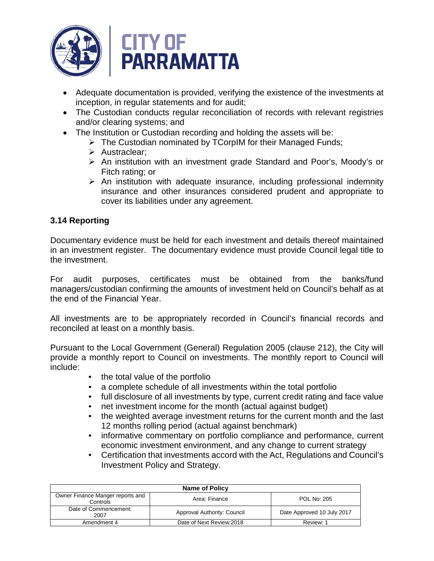

- Adequate documentation is provided, verifying the existence of the investments at inception, in regular statements and for audit;
- The Custodian conducts regular reconciliation of records with relevant registries and/or clearing systems; and
- The Institution or Custodian recording and holding the assets will be:
	- $\triangleright$  The Custodian nominated by TCorpIM for their Managed Funds;
	- $\triangleright$  Austraclear:
	- An institution with an investment grade Standard and Poor's, Moody's or Fitch rating; or
	- $\triangleright$  An institution with adequate insurance, including professional indemnity insurance and other insurances considered prudent and appropriate to cover its liabilities under any agreement.

## **3.14 Reporting**

Documentary evidence must be held for each investment and details thereof maintained in an investment register. The documentary evidence must provide Council legal title to the investment.

For audit purposes, certificates must be obtained from the banks/fund managers/custodian confirming the amounts of investment held on Council's behalf as at the end of the Financial Year.

All investments are to be appropriately recorded in Council's financial records and reconciled at least on a monthly basis.

Pursuant to the Local Government (General) Regulation 2005 (clause 212), the City will provide a monthly report to Council on investments. The monthly report to Council will include:

- the total value of the portfolio
- a complete schedule of all investments within the total portfolio
- full disclosure of all investments by type, current credit rating and face value
- net investment income for the month (actual against budget)
- the weighted average investment returns for the current month and the last 12 months rolling period (actual against benchmark)
- informative commentary on portfolio compliance and performance, current economic investment environment, and any change to current strategy
- Certification that investments accord with the Act, Regulations and Council's Investment Policy and Strategy.

| <b>Name of Policy</b>                                                               |                             |                            |  |  |
|-------------------------------------------------------------------------------------|-----------------------------|----------------------------|--|--|
| Owner Finance Manger reports and<br><b>POL No: 205</b><br>Area: Finance<br>Controls |                             |                            |  |  |
| Date of Commencement:<br>2007                                                       | Approval Authority: Council | Date Approved 10 July 2017 |  |  |
| Amendment 4                                                                         | Date of Next Review: 2018   | Review: 1                  |  |  |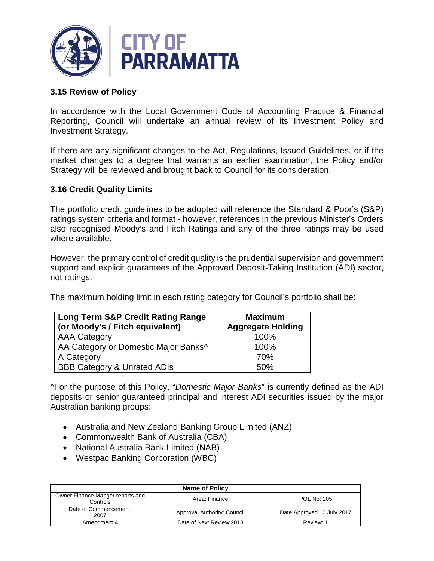

## **3.15 Review of Policy**

In accordance with the Local Government Code of Accounting Practice & Financial Reporting, Council will undertake an annual review of its Investment Policy and Investment Strategy.

If there are any significant changes to the Act, Regulations, Issued Guidelines, or if the market changes to a degree that warrants an earlier examination, the Policy and/or Strategy will be reviewed and brought back to Council for its consideration.

## **3.16 Credit Quality Limits**

The portfolio credit guidelines to be adopted will reference the Standard & Poor's (S&P) ratings system criteria and format - however, references in the previous Minister's Orders also recognised Moody's and Fitch Ratings and any of the three ratings may be used where available.

However, the primary control of credit quality is the prudential supervision and government support and explicit guarantees of the Approved Deposit-Taking Institution (ADI) sector, not ratings.

The maximum holding limit in each rating category for Council's portfolio shall be:

| <b>Long Term S&amp;P Credit Rating Range</b><br>(or Moody's / Fitch equivalent) | <b>Maximum</b><br><b>Aggregate Holding</b> |
|---------------------------------------------------------------------------------|--------------------------------------------|
| <b>AAA Category</b>                                                             | 100%                                       |
| AA Category or Domestic Major Banks^                                            | 100%                                       |
| A Category                                                                      | 70%                                        |
| <b>BBB Category &amp; Unrated ADIs</b>                                          | 50%                                        |

^For the purpose of this Policy, "*Domestic Major Banks*" is currently defined as the ADI deposits or senior guaranteed principal and interest ADI securities issued by the major Australian banking groups:

- Australia and New Zealand Banking Group Limited (ANZ)
- Commonwealth Bank of Australia (CBA)
- National Australia Bank Limited (NAB)
- Westpac Banking Corporation (WBC)

| <b>Name of Policy</b>                                                               |                             |                            |  |  |
|-------------------------------------------------------------------------------------|-----------------------------|----------------------------|--|--|
| Owner Finance Manger reports and<br><b>POL No: 205</b><br>Area: Finance<br>Controls |                             |                            |  |  |
| Date of Commencement:<br>2007                                                       | Approval Authority: Council | Date Approved 10 July 2017 |  |  |
| Amendment 4                                                                         | Date of Next Review: 2018   | Review: 1                  |  |  |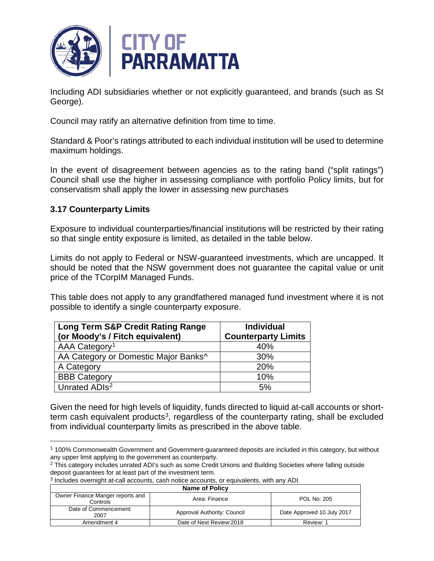

Including ADI subsidiaries whether or not explicitly guaranteed, and brands (such as St George).

Council may ratify an alternative definition from time to time.

Standard & Poor's ratings attributed to each individual institution will be used to determine maximum holdings.

In the event of disagreement between agencies as to the rating band ("split ratings") Council shall use the higher in assessing compliance with portfolio Policy limits, but for conservatism shall apply the lower in assessing new purchases

## **3.17 Counterparty Limits**

 $\overline{a}$ 

Exposure to individual counterparties/financial institutions will be restricted by their rating so that single entity exposure is limited, as detailed in the table below.

Limits do not apply to Federal or NSW-guaranteed investments, which are uncapped. It should be noted that the NSW government does not guarantee the capital value or unit price of the TCorpIM Managed Funds.

This table does not apply to any grandfathered managed fund investment where it is not possible to identify a single counterparty exposure.

| <b>Long Term S&amp;P Credit Rating Range</b> | <b>Individual</b>          |
|----------------------------------------------|----------------------------|
| (or Moody's / Fitch equivalent)              | <b>Counterparty Limits</b> |
| AAA Category <sup>1</sup>                    | 40%                        |
| AA Category or Domestic Major Banks^         | 30%                        |
| A Category                                   | 20%                        |
| <b>BBB Category</b>                          | 10%                        |
| Unrated ADIs <sup>2</sup>                    | 5%                         |

Given the need for high levels of liquidity, funds directed to liquid at-call accounts or shortterm cash equivalent products<sup>3</sup>, regardless of the counterparty rating, shall be excluded from individual counterparty limits as prescribed in the above table.

<sup>3</sup> Includes overnight at-call accounts, cash notice accounts, or equivalents, with any ADI.

<span id="page-7-2"></span>

| <b>Name of Policy</b>                                                        |                             |                            |  |  |
|------------------------------------------------------------------------------|-----------------------------|----------------------------|--|--|
| Owner Finance Manger reports and<br>POL No: 205<br>Area: Finance<br>Controls |                             |                            |  |  |
| Date of Commencement:<br>2007                                                | Approval Authority: Council | Date Approved 10 July 2017 |  |  |
| Amendment 4                                                                  | Date of Next Review: 2018   | Review: 1                  |  |  |

<span id="page-7-0"></span><sup>1</sup> 100% Commonwealth Government and Government-guaranteed deposits are included in this category, but without any upper limit applying to the government as counterparty.

<span id="page-7-1"></span><sup>&</sup>lt;sup>2</sup> This category includes unrated ADI's such as some Credit Unions and Building Societies where falling outside deposit guarantees for at least part of the investment term.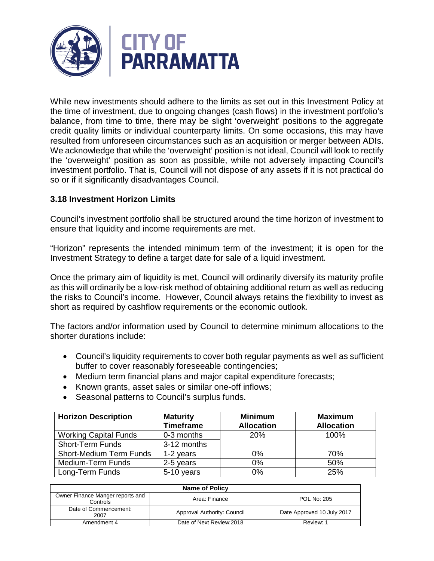

While new investments should adhere to the limits as set out in this Investment Policy at the time of investment, due to ongoing changes (cash flows) in the investment portfolio's balance, from time to time, there may be slight 'overweight' positions to the aggregate credit quality limits or individual counterparty limits. On some occasions, this may have resulted from unforeseen circumstances such as an acquisition or merger between ADIs. We acknowledge that while the 'overweight' position is not ideal, Council will look to rectify the 'overweight' position as soon as possible, while not adversely impacting Council's investment portfolio. That is, Council will not dispose of any assets if it is not practical do so or if it significantly disadvantages Council.

## **3.18 Investment Horizon Limits**

Council's investment portfolio shall be structured around the time horizon of investment to ensure that liquidity and income requirements are met.

"Horizon" represents the intended minimum term of the investment; it is open for the Investment Strategy to define a target date for sale of a liquid investment.

Once the primary aim of liquidity is met, Council will ordinarily diversify its maturity profile as this will ordinarily be a low-risk method of obtaining additional return as well as reducing the risks to Council's income. However, Council always retains the flexibility to invest as short as required by cashflow requirements or the economic outlook.

The factors and/or information used by Council to determine minimum allocations to the shorter durations include:

- Council's liquidity requirements to cover both regular payments as well as sufficient buffer to cover reasonably foreseeable contingencies;
- Medium term financial plans and major capital expenditure forecasts;
- Known grants, asset sales or similar one-off inflows;
- Seasonal patterns to Council's surplus funds.

| <b>Horizon Description</b>     | <b>Maturity</b><br><b>Timeframe</b> | <b>Minimum</b><br><b>Allocation</b> | <b>Maximum</b><br><b>Allocation</b> |
|--------------------------------|-------------------------------------|-------------------------------------|-------------------------------------|
| <b>Working Capital Funds</b>   | 0-3 months                          | 20%                                 | 100%                                |
| <b>Short-Term Funds</b>        | 3-12 months                         |                                     |                                     |
| <b>Short-Medium Term Funds</b> | 1-2 years                           | $0\%$                               | 70%                                 |
| Medium-Term Funds              | 2-5 years                           | 0%                                  | 50%                                 |
| Long-Term Funds                | 5-10 years                          | 0%                                  | 25%                                 |

| <b>Name of Policy</b>                                                        |                             |                            |  |  |
|------------------------------------------------------------------------------|-----------------------------|----------------------------|--|--|
| Owner Finance Manger reports and<br>POL No: 205<br>Area: Finance<br>Controls |                             |                            |  |  |
| Date of Commencement:<br>2007                                                | Approval Authority: Council | Date Approved 10 July 2017 |  |  |
| Amendment 4                                                                  | Date of Next Review: 2018   | Review: 1                  |  |  |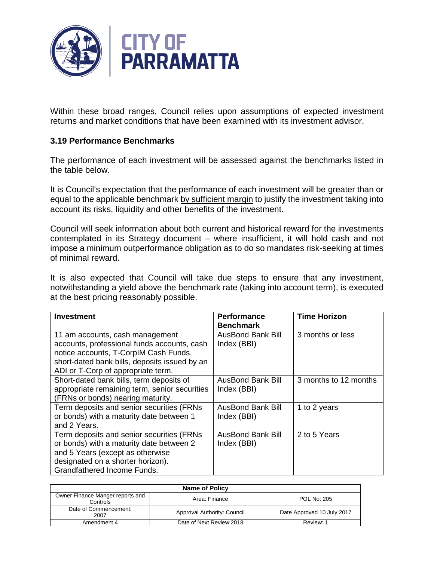

Within these broad ranges, Council relies upon assumptions of expected investment returns and market conditions that have been examined with its investment advisor.

## **3.19 Performance Benchmarks**

The performance of each investment will be assessed against the benchmarks listed in the table below.

It is Council's expectation that the performance of each investment will be greater than or equal to the applicable benchmark by sufficient margin to justify the investment taking into account its risks, liquidity and other benefits of the investment.

Council will seek information about both current and historical reward for the investments contemplated in its Strategy document – where insufficient, it will hold cash and not impose a minimum outperformance obligation as to do so mandates risk-seeking at times of minimal reward.

It is also expected that Council will take due steps to ensure that any investment, notwithstanding a yield above the benchmark rate (taking into account term), is executed at the best pricing reasonably possible.

| <b>Investment</b>                                                                                                                                                                                              | <b>Performance</b><br><b>Benchmark</b>  | <b>Time Horizon</b>   |
|----------------------------------------------------------------------------------------------------------------------------------------------------------------------------------------------------------------|-----------------------------------------|-----------------------|
| 11 am accounts, cash management<br>accounts, professional funds accounts, cash<br>notice accounts, T-CorpIM Cash Funds,<br>short-dated bank bills, deposits issued by an<br>ADI or T-Corp of appropriate term. | <b>AusBond Bank Bill</b><br>Index (BBI) | 3 months or less      |
| Short-dated bank bills, term deposits of<br>appropriate remaining term, senior securities<br>(FRNs or bonds) nearing maturity.                                                                                 | <b>AusBond Bank Bill</b><br>Index (BBI) | 3 months to 12 months |
| Term deposits and senior securities (FRNs<br>or bonds) with a maturity date between 1<br>and 2 Years.                                                                                                          | AusBond Bank Bill<br>Index (BBI)        | 1 to 2 years          |
| Term deposits and senior securities (FRNs<br>or bonds) with a maturity date between 2<br>and 5 Years (except as otherwise<br>designated on a shorter horizon).<br>Grandfathered Income Funds.                  | <b>AusBond Bank Bill</b><br>Index (BBI) | 2 to 5 Years          |

| Name of Policy                               |                             |                            |
|----------------------------------------------|-----------------------------|----------------------------|
| Owner Finance Manger reports and<br>Controls | Area: Finance               | <b>POL No: 205</b>         |
| Date of Commencement:<br>2007                | Approval Authority: Council | Date Approved 10 July 2017 |
| Amendment 4                                  | Date of Next Review: 2018   | Review: 1                  |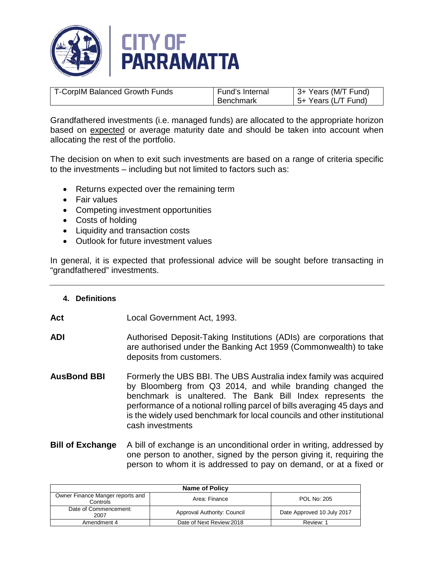

| T-CorpIM Balanced Growth Funds | Fund's Internal | 3+ Years (M/T Fund) |
|--------------------------------|-----------------|---------------------|
|                                | Benchmark       | 5+ Years (L/T Fund) |

Grandfathered investments (i.e. managed funds) are allocated to the appropriate horizon based on expected or average maturity date and should be taken into account when allocating the rest of the portfolio.

The decision on when to exit such investments are based on a range of criteria specific to the investments – including but not limited to factors such as:

- Returns expected over the remaining term
- Fair values
- Competing investment opportunities
- Costs of holding
- Liquidity and transaction costs
- Outlook for future investment values

In general, it is expected that professional advice will be sought before transacting in "grandfathered" investments.

#### **4. Definitions**

- **Act** Local Government Act, 1993.
- **ADI** Authorised Deposit-Taking Institutions (ADIs) are corporations that are authorised under the Banking Act 1959 (Commonwealth) to take deposits from customers.
- **AusBond BBI** Formerly the UBS BBI. The UBS Australia index family was acquired by Bloomberg from Q3 2014, and while branding changed the benchmark is unaltered. The Bank Bill Index represents the performance of a notional rolling parcel of bills averaging 45 days and is the widely used benchmark for local councils and other institutional cash investments
- **Bill of Exchange** A bill of exchange is an unconditional order in writing, addressed by one person to another, signed by the person giving it, requiring the person to whom it is addressed to pay on demand, or at a fixed or

| <b>Name of Policy</b>                        |                             |                            |
|----------------------------------------------|-----------------------------|----------------------------|
| Owner Finance Manger reports and<br>Controls | Area: Finance               | POL No: 205                |
| Date of Commencement:<br>2007                | Approval Authority: Council | Date Approved 10 July 2017 |
| Amendment 4                                  | Date of Next Review: 2018   | Review: 1                  |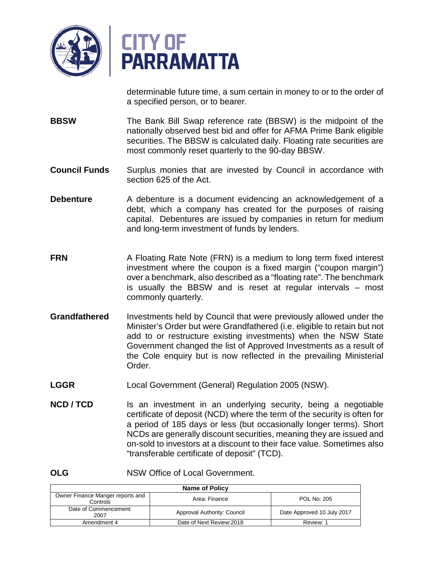

determinable future time, a sum certain in money to or to the order of a specified person, or to bearer.

- **BBSW** The Bank Bill Swap reference rate (BBSW) is the midpoint of the nationally observed best bid and offer for AFMA Prime Bank eligible securities. The BBSW is calculated daily. Floating rate securities are most commonly reset quarterly to the 90-day BBSW.
- **Council Funds** Surplus monies that are invested by Council in accordance with section 625 of the Act.
- **Debenture** A debenture is a document evidencing an acknowledgement of a debt, which a company has created for the purposes of raising capital. Debentures are issued by companies in return for medium and long-term investment of funds by lenders.
- **FRN** A Floating Rate Note (FRN) is a medium to long term fixed interest investment where the coupon is a fixed margin ("coupon margin") over a benchmark, also described as a "floating rate". The benchmark is usually the BBSW and is reset at regular intervals – most commonly quarterly.
- **Grandfathered** Investments held by Council that were previously allowed under the Minister's Order but were Grandfathered (i.e. eligible to retain but not add to or restructure existing investments) when the NSW State Government changed the list of Approved Investments as a result of the Cole enquiry but is now reflected in the prevailing Ministerial Order.
- **LGGR** Local Government (General) Regulation 2005 (NSW).
- **NCD / TCD** Is an investment in an underlying security, being a negotiable certificate of deposit (NCD) where the term of the security is often for a period of 185 days or less (but occasionally longer terms). Short NCDs are generally discount securities, meaning they are issued and on-sold to investors at a discount to their face value. Sometimes also "transferable certificate of deposit" (TCD).

**OLG** NSW Office of Local Government.

| <b>Name of Policy</b>                        |                             |                            |
|----------------------------------------------|-----------------------------|----------------------------|
| Owner Finance Manger reports and<br>Controls | Area: Finance               | <b>POL No: 205</b>         |
| Date of Commencement:<br>2007                | Approval Authority: Council | Date Approved 10 July 2017 |
| Amendment 4                                  | Date of Next Review: 2018   | Review: 1                  |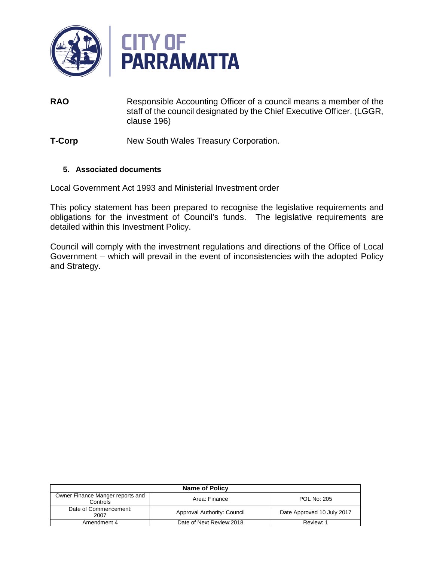

- **RAO** Responsible Accounting Officer of a council means a member of the staff of the council designated by the Chief Executive Officer. (LGGR, clause 196)
- **T-Corp** New South Wales Treasury Corporation.

## **5. Associated documents**

Local Government Act 1993 and Ministerial Investment order

This policy statement has been prepared to recognise the legislative requirements and obligations for the investment of Council's funds. The legislative requirements are detailed within this Investment Policy.

Council will comply with the investment regulations and directions of the Office of Local Government – which will prevail in the event of inconsistencies with the adopted Policy and Strategy.

| <b>Name of Policy</b>                        |                             |                            |
|----------------------------------------------|-----------------------------|----------------------------|
| Owner Finance Manger reports and<br>Controls | Area: Finance               | <b>POL No: 205</b>         |
| Date of Commencement:<br>2007                | Approval Authority: Council | Date Approved 10 July 2017 |
| Amendment 4                                  | Date of Next Review: 2018   | Review: 1                  |